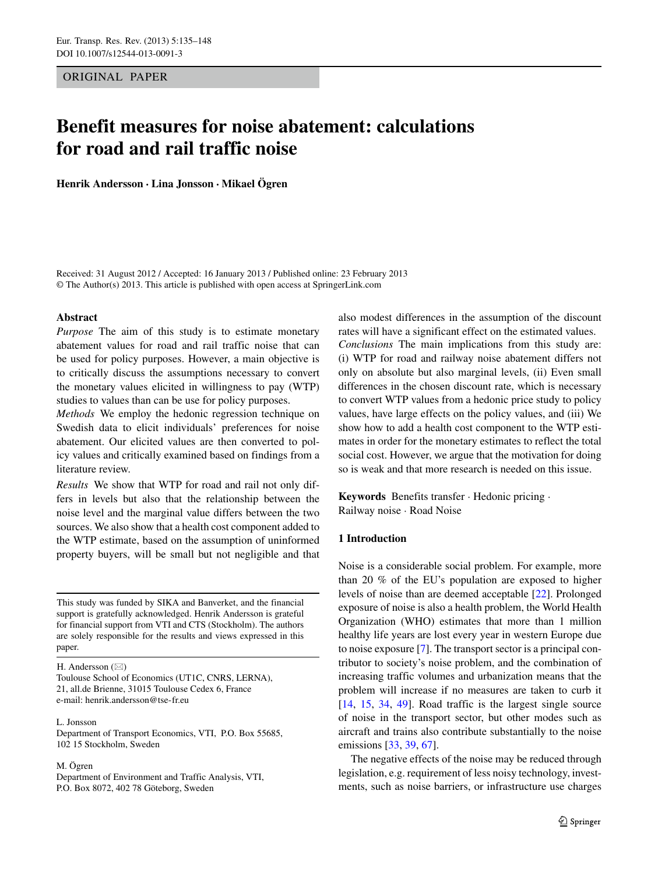# ORIGINAL PAPER

# **Benefit measures for noise abatement: calculations for road and rail traffic noise**

**Henrik Andersson · Lina Jonsson · Mikael Ogren ¨**

Received: 31 August 2012 / Accepted: 16 January 2013 / Published online: 23 February 2013 © The Author(s) 2013. This article is published with open access at SpringerLink.com

## **Abstract**

*Purpose* The aim of this study is to estimate monetary abatement values for road and rail traffic noise that can be used for policy purposes. However, a main objective is to critically discuss the assumptions necessary to convert the monetary values elicited in willingness to pay (WTP) studies to values than can be use for policy purposes.

*Methods* We employ the hedonic regression technique on Swedish data to elicit individuals' preferences for noise abatement. Our elicited values are then converted to policy values and critically examined based on findings from a literature review.

*Results* We show that WTP for road and rail not only differs in levels but also that the relationship between the noise level and the marginal value differs between the two sources. We also show that a health cost component added to the WTP estimate, based on the assumption of uninformed property buyers, will be small but not negligible and that

This study was funded by SIKA and Banverket, and the financial support is gratefully acknowledged. Henrik Andersson is grateful for financial support from VTI and CTS (Stockholm). The authors are solely responsible for the results and views expressed in this paper.

H. Andersson  $(\boxtimes)$ 

Toulouse School of Economics (UT1C, CNRS, LERNA), 21, all.de Brienne, 31015 Toulouse Cedex 6, France e-mail: [henrik.andersson@tse-fr.eu](mailto:henrik.andersson@tse-fr.eu)

#### L. Jonsson

Department of Transport Economics, VTI, P.O. Box 55685, 102 15 Stockholm, Sweden

M. Ögren

Department of Environment and Traffic Analysis, VTI, P.O. Box 8072, 402 78 Göteborg, Sweden

also modest differences in the assumption of the discount rates will have a significant effect on the estimated values. *Conclusions* The main implications from this study are: (i) WTP for road and railway noise abatement differs not only on absolute but also marginal levels, (ii) Even small differences in the chosen discount rate, which is necessary to convert WTP values from a hedonic price study to policy values, have large effects on the policy values, and (iii) We show how to add a health cost component to the WTP estimates in order for the monetary estimates to reflect the total social cost. However, we argue that the motivation for doing so is weak and that more research is needed on this issue.

**Keywords** Benefits transfer · Hedonic pricing · Railway noise · Road Noise

## **1 Introduction**

Noise is a considerable social problem. For example, more than 20 % of the EU's population are exposed to higher levels of noise than are deemed acceptable [\[22\]](#page-12-0). Prolonged exposure of noise is also a health problem, the World Health Organization (WHO) estimates that more than 1 million healthy life years are lost every year in western Europe due to noise exposure [\[7\]](#page-12-1). The transport sector is a principal contributor to society's noise problem, and the combination of increasing traffic volumes and urbanization means that the problem will increase if no measures are taken to curb it [\[14,](#page-12-2) [15,](#page-12-3) [34,](#page-12-4) [49\]](#page-13-0). Road traffic is the largest single source of noise in the transport sector, but other modes such as aircraft and trains also contribute substantially to the noise emissions [\[33,](#page-12-5) [39,](#page-12-6) [67\]](#page-13-1).

The negative effects of the noise may be reduced through legislation, e.g. requirement of less noisy technology, investments, such as noise barriers, or infrastructure use charges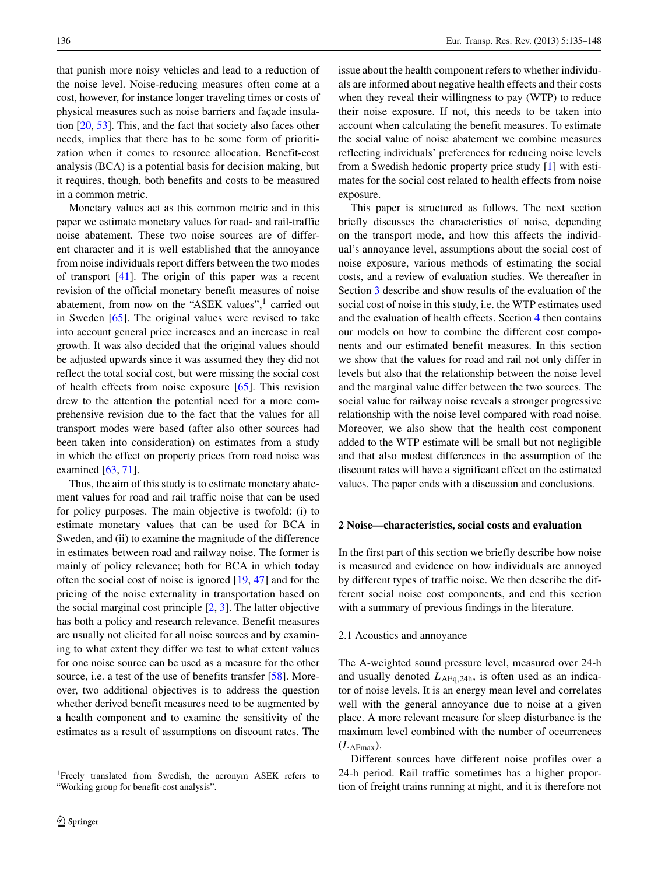that punish more noisy vehicles and lead to a reduction of the noise level. Noise-reducing measures often come at a cost, however, for instance longer traveling times or costs of physical measures such as noise barriers and façade insulation [\[20,](#page-12-7) [53\]](#page-13-2). This, and the fact that society also faces other needs, implies that there has to be some form of prioritization when it comes to resource allocation. Benefit-cost analysis (BCA) is a potential basis for decision making, but it requires, though, both benefits and costs to be measured in a common metric.

Monetary values act as this common metric and in this paper we estimate monetary values for road- and rail-traffic noise abatement. These two noise sources are of different character and it is well established that the annoyance from noise individuals report differs between the two modes of transport [\[41\]](#page-12-8). The origin of this paper was a recent revision of the official monetary benefit measures of noise abatement, from now on the "ASEK values", $\frac{1}{1}$  $\frac{1}{1}$  $\frac{1}{1}$  carried out in Sweden [\[65\]](#page-13-3). The original values were revised to take into account general price increases and an increase in real growth. It was also decided that the original values should be adjusted upwards since it was assumed they they did not reflect the total social cost, but were missing the social cost of health effects from noise exposure [\[65\]](#page-13-3). This revision drew to the attention the potential need for a more comprehensive revision due to the fact that the values for all transport modes were based (after also other sources had been taken into consideration) on estimates from a study in which the effect on property prices from road noise was examined [\[63,](#page-13-4) [71\]](#page-13-5).

Thus, the aim of this study is to estimate monetary abatement values for road and rail traffic noise that can be used for policy purposes. The main objective is twofold: (i) to estimate monetary values that can be used for BCA in Sweden, and (ii) to examine the magnitude of the difference in estimates between road and railway noise. The former is mainly of policy relevance; both for BCA in which today often the social cost of noise is ignored [\[19,](#page-12-9) [47\]](#page-13-6) and for the pricing of the noise externality in transportation based on the social marginal cost principle [\[2,](#page-12-10) [3\]](#page-12-11). The latter objective has both a policy and research relevance. Benefit measures are usually not elicited for all noise sources and by examining to what extent they differ we test to what extent values for one noise source can be used as a measure for the other source, i.e. a test of the use of benefits transfer [\[58\]](#page-13-7). Moreover, two additional objectives is to address the question whether derived benefit measures need to be augmented by a health component and to examine the sensitivity of the estimates as a result of assumptions on discount rates. The

issue about the health component refers to whether individuals are informed about negative health effects and their costs when they reveal their willingness to pay (WTP) to reduce their noise exposure. If not, this needs to be taken into account when calculating the benefit measures. To estimate the social value of noise abatement we combine measures reflecting individuals' preferences for reducing noise levels from a Swedish hedonic property price study [\[1\]](#page-12-12) with estimates for the social cost related to health effects from noise exposure.

This paper is structured as follows. The next section briefly discusses the characteristics of noise, depending on the transport mode, and how this affects the individual's annoyance level, assumptions about the social cost of noise exposure, various methods of estimating the social costs, and a review of evaluation studies. We thereafter in Section [3](#page-4-0) describe and show results of the evaluation of the social cost of noise in this study, i.e. the WTP estimates used and the evaluation of health effects. Section [4](#page-7-0) then contains our models on how to combine the different cost components and our estimated benefit measures. In this section we show that the values for road and rail not only differ in levels but also that the relationship between the noise level and the marginal value differ between the two sources. The social value for railway noise reveals a stronger progressive relationship with the noise level compared with road noise. Moreover, we also show that the health cost component added to the WTP estimate will be small but not negligible and that also modest differences in the assumption of the discount rates will have a significant effect on the estimated values. The paper ends with a discussion and conclusions.

## **2 Noise—characteristics, social costs and evaluation**

In the first part of this section we briefly describe how noise is measured and evidence on how individuals are annoyed by different types of traffic noise. We then describe the different social noise cost components, and end this section with a summary of previous findings in the literature.

## 2.1 Acoustics and annoyance

The A-weighted sound pressure level, measured over 24-h and usually denoted *L*AEq*,*24h, is often used as an indicator of noise levels. It is an energy mean level and correlates well with the general annoyance due to noise at a given place. A more relevant measure for sleep disturbance is the maximum level combined with the number of occurrences  $(L_{\text{AFmax}})$ .

Different sources have different noise profiles over a 24-h period. Rail traffic sometimes has a higher proportion of freight trains running at night, and it is therefore not

<span id="page-1-0"></span><sup>1</sup>Freely translated from Swedish, the acronym ASEK refers to "Working group for benefit-cost analysis".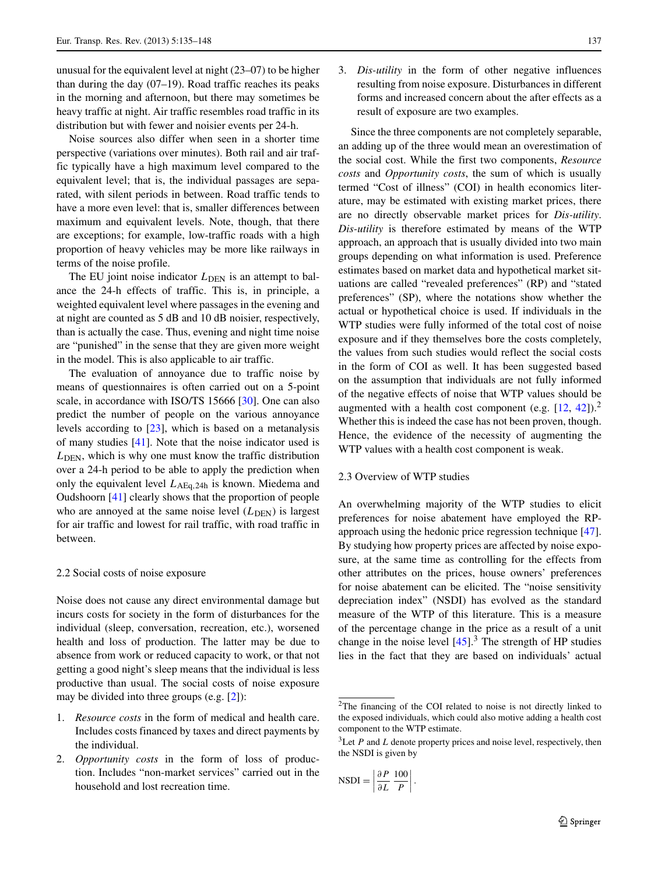unusual for the equivalent level at night (23–07) to be higher than during the day (07–19). Road traffic reaches its peaks in the morning and afternoon, but there may sometimes be heavy traffic at night. Air traffic resembles road traffic in its distribution but with fewer and noisier events per 24-h.

Noise sources also differ when seen in a shorter time perspective (variations over minutes). Both rail and air traffic typically have a high maximum level compared to the equivalent level; that is, the individual passages are separated, with silent periods in between. Road traffic tends to have a more even level: that is, smaller differences between maximum and equivalent levels. Note, though, that there are exceptions; for example, low-traffic roads with a high proportion of heavy vehicles may be more like railways in terms of the noise profile.

The EU joint noise indicator  $L_{\text{DEN}}$  is an attempt to balance the 24-h effects of traffic. This is, in principle, a weighted equivalent level where passages in the evening and at night are counted as 5 dB and 10 dB noisier, respectively, than is actually the case. Thus, evening and night time noise are "punished" in the sense that they are given more weight in the model. This is also applicable to air traffic.

The evaluation of annoyance due to traffic noise by means of questionnaires is often carried out on a 5-point scale, in accordance with ISO/TS 15666 [\[30\]](#page-12-13). One can also predict the number of people on the various annoyance levels according to [\[23\]](#page-12-14), which is based on a metanalysis of many studies [\[41\]](#page-12-8). Note that the noise indicator used is *L*<sub>DEN</sub>, which is why one must know the traffic distribution over a 24-h period to be able to apply the prediction when only the equivalent level *L*AEq*,*24h is known. Miedema and Oudshoorn [\[41\]](#page-12-8) clearly shows that the proportion of people who are annoyed at the same noise level ( $L<sub>DEN</sub>$ ) is largest for air traffic and lowest for rail traffic, with road traffic in between.

#### 2.2 Social costs of noise exposure

Noise does not cause any direct environmental damage but incurs costs for society in the form of disturbances for the individual (sleep, conversation, recreation, etc.), worsened health and loss of production. The latter may be due to absence from work or reduced capacity to work, or that not getting a good night's sleep means that the individual is less productive than usual. The social costs of noise exposure may be divided into three groups (e.g. [\[2\]](#page-12-10)):

- 1. *Resource costs* in the form of medical and health care. Includes costs financed by taxes and direct payments by the individual.
- 2. *Opportunity costs* in the form of loss of production. Includes "non-market services" carried out in the household and lost recreation time.

3. *Dis-utility* in the form of other negative influences resulting from noise exposure. Disturbances in different forms and increased concern about the after effects as a result of exposure are two examples.

Since the three components are not completely separable, an adding up of the three would mean an overestimation of the social cost. While the first two components, *Resource costs* and *Opportunity costs*, the sum of which is usually termed "Cost of illness" (COI) in health economics literature, may be estimated with existing market prices, there are no directly observable market prices for *Dis-utility*. *Dis-utility* is therefore estimated by means of the WTP approach, an approach that is usually divided into two main groups depending on what information is used. Preference estimates based on market data and hypothetical market situations are called "revealed preferences" (RP) and "stated preferences" (SP), where the notations show whether the actual or hypothetical choice is used. If individuals in the WTP studies were fully informed of the total cost of noise exposure and if they themselves bore the costs completely, the values from such studies would reflect the social costs in the form of COI as well. It has been suggested based on the assumption that individuals are not fully informed of the negative effects of noise that WTP values should be augmented with a health cost component (e.g.  $[12, 42]$  $[12, 42]$  $[12, 42]$ ).<sup>[2](#page-2-0)</sup> Whether this is indeed the case has not been proven, though. Hence, the evidence of the necessity of augmenting the WTP values with a health cost component is weak.

# 2.3 Overview of WTP studies

An overwhelming majority of the WTP studies to elicit preferences for noise abatement have employed the RPapproach using the hedonic price regression technique [\[47\]](#page-13-6). By studying how property prices are affected by noise exposure, at the same time as controlling for the effects from other attributes on the prices, house owners' preferences for noise abatement can be elicited. The "noise sensitivity depreciation index" (NSDI) has evolved as the standard measure of the WTP of this literature. This is a measure of the percentage change in the price as a result of a unit change in the noise level  $[45]$ <sup>[3](#page-2-1)</sup>. The strength of HP studies lies in the fact that they are based on individuals' actual

$$
\text{NSDI} = \left| \frac{\partial P}{\partial L} \frac{100}{P} \right|.
$$

<span id="page-2-0"></span><sup>2</sup>The financing of the COI related to noise is not directly linked to the exposed individuals, which could also motive adding a health cost component to the WTP estimate.

<span id="page-2-1"></span><sup>&</sup>lt;sup>3</sup>Let *P* and *L* denote property prices and noise level, respectively, then the NSDI is given by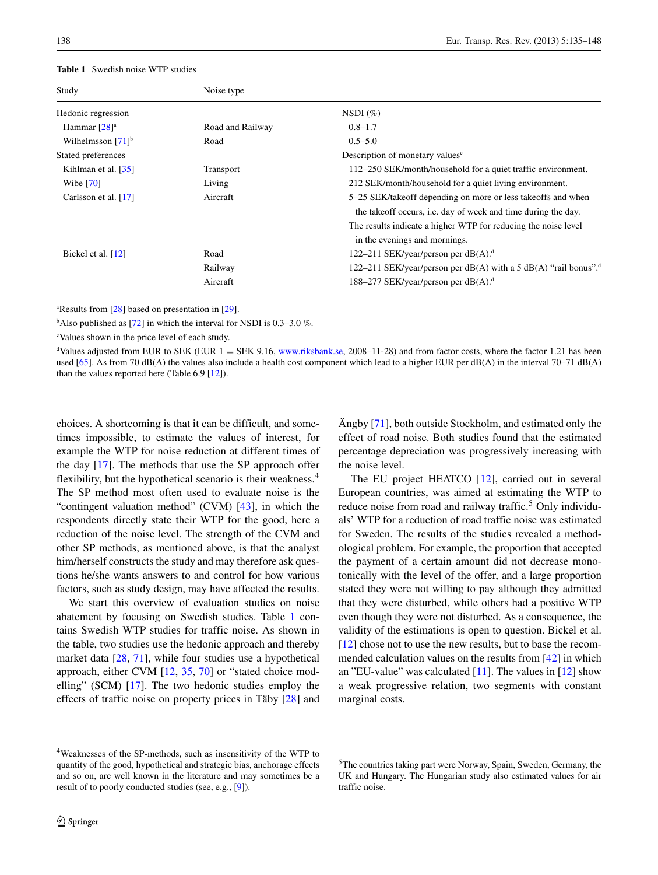## <span id="page-3-2"></span>**Table 1** Swedish noise WTP studies

| Study                           | Noise type       |                                                                                                                                      |
|---------------------------------|------------------|--------------------------------------------------------------------------------------------------------------------------------------|
| Hedonic regression              |                  | NSDI $(\%)$                                                                                                                          |
| Hammar $[28]$ <sup>a</sup>      | Road and Railway | $0.8 - 1.7$                                                                                                                          |
| Wilhelmsson $[71]$ <sup>b</sup> | Road             | $0.5 - 5.0$                                                                                                                          |
| Stated preferences              |                  | Description of monetary values <sup>c</sup>                                                                                          |
| Kihlman et al. $[35]$           | Transport        | 112–250 SEK/month/household for a quiet traffic environment.                                                                         |
| Wibe $[70]$                     | Living           | 212 SEK/month/household for a quiet living environment.                                                                              |
| Carlsson et al. [17]            | Aircraft         | 5–25 SEK/takeoff depending on more or less takeoffs and when<br>the takeoff occurs, <i>i.e.</i> day of week and time during the day. |
|                                 |                  | The results indicate a higher WTP for reducing the noise level<br>in the evenings and mornings.                                      |
| Bickel et al. $[12]$            | Road             | 122–211 SEK/year/person per $dB(A)$ . <sup>d</sup>                                                                                   |
|                                 | Railway          | 122–211 SEK/year/person per dB(A) with a 5 dB(A) "rail bonus". <sup>d</sup>                                                          |
|                                 | Aircraft         | 188–277 SEK/year/person per $dB(A)$ . <sup>d</sup>                                                                                   |

<sup>a</sup>Results from [\[28\]](#page-12-17) based on presentation in [\[29\]](#page-12-20).

<span id="page-3-0"></span> $b$ Also published as [\[72\]](#page-13-10) in which the interval for NSDI is 0.3–3.0 %.

c Values shown in the price level of each study.

<sup>d</sup>Values adjusted from EUR to SEK (EUR 1 = SEK 9.16, [www.riksbank.se,](www.riksbank.se) 2008–11-28) and from factor costs, where the factor 1.21 has been used [\[65\]](#page-13-3). As from 70 dB(A) the values also include a health cost component which lead to a higher EUR per dB(A) in the interval 70–71 dB(A) than the values reported here (Table 6.9 [\[12\]](#page-12-15)).

choices. A shortcoming is that it can be difficult, and sometimes impossible, to estimate the values of interest, for example the WTP for noise reduction at different times of the day [\[17\]](#page-12-19). The methods that use the SP approach offer flexibility, but the hypothetical scenario is their weakness[.4](#page-3-1) The SP method most often used to evaluate noise is the "contingent valuation method" (CVM) [\[43\]](#page-13-11), in which the respondents directly state their WTP for the good, here a reduction of the noise level. The strength of the CVM and other SP methods, as mentioned above, is that the analyst him/herself constructs the study and may therefore ask questions he/she wants answers to and control for how various factors, such as study design, may have affected the results.

We start this overview of evaluation studies on noise abatement by focusing on Swedish studies. Table [1](#page-3-2) contains Swedish WTP studies for traffic noise. As shown in the table, two studies use the hedonic approach and thereby market data [\[28,](#page-12-17) [71\]](#page-13-5), while four studies use a hypothetical approach, either CVM [\[12,](#page-12-15) [35,](#page-12-18) [70\]](#page-13-9) or "stated choice modelling" (SCM) [\[17\]](#page-12-19). The two hedonic studies employ the effects of traffic noise on property prices in Täby  $[28]$  $[28]$  and Ängby  $[71]$  $[71]$ , both outside Stockholm, and estimated only the effect of road noise. Both studies found that the estimated percentage depreciation was progressively increasing with the noise level.

The EU project HEATCO [\[12\]](#page-12-15), carried out in several European countries, was aimed at estimating the WTP to reduce noise from road and railway traffic.<sup>[5](#page-3-3)</sup> Only individuals' WTP for a reduction of road traffic noise was estimated for Sweden. The results of the studies revealed a methodological problem. For example, the proportion that accepted the payment of a certain amount did not decrease monotonically with the level of the offer, and a large proportion stated they were not willing to pay although they admitted that they were disturbed, while others had a positive WTP even though they were not disturbed. As a consequence, the validity of the estimations is open to question. Bickel et al. [\[12\]](#page-12-15) chose not to use the new results, but to base the recommended calculation values on the results from [\[42\]](#page-12-16) in which an "EU-value" was calculated  $[11]$ . The values in  $[12]$  show a weak progressive relation, two segments with constant marginal costs.

<span id="page-3-1"></span><sup>4</sup>Weaknesses of the SP-methods, such as insensitivity of the WTP to quantity of the good, hypothetical and strategic bias, anchorage effects and so on, are well known in the literature and may sometimes be a result of to poorly conducted studies (see, e.g., [\[9\]](#page-12-21)).

<span id="page-3-3"></span><sup>5</sup>The countries taking part were Norway, Spain, Sweden, Germany, the UK and Hungary. The Hungarian study also estimated values for air traffic noise.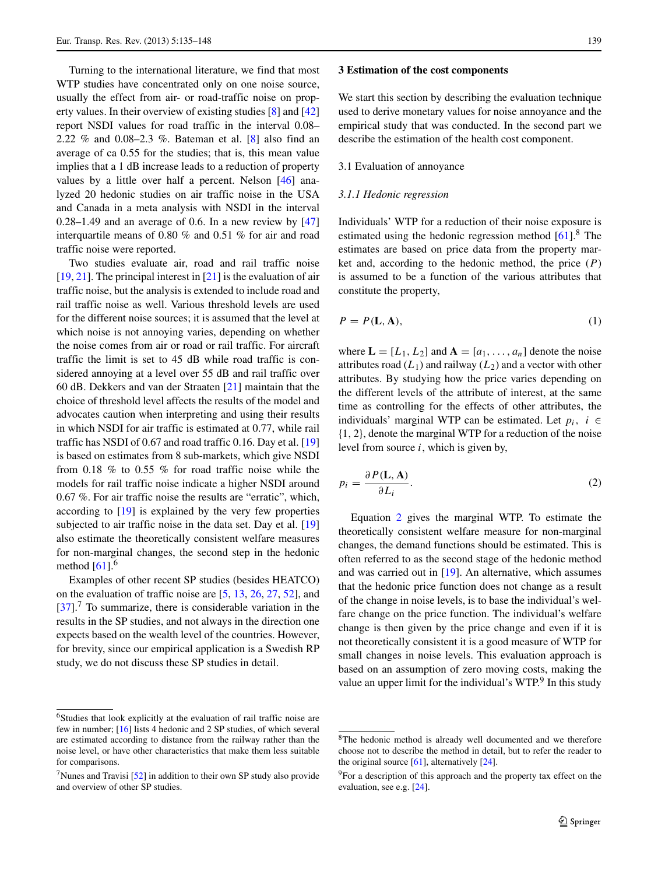Turning to the international literature, we find that most WTP studies have concentrated only on one noise source, usually the effect from air- or road-traffic noise on property values. In their overview of existing studies [\[8\]](#page-12-23) and [\[42\]](#page-12-16) report NSDI values for road traffic in the interval 0.08– 2.22 % and 0.08–2.3 %. Bateman et al. [\[8\]](#page-12-23) also find an average of ca 0.55 for the studies; that is, this mean value implies that a 1 dB increase leads to a reduction of property values by a little over half a percent. Nelson [\[46\]](#page-13-12) analyzed 20 hedonic studies on air traffic noise in the USA and Canada in a meta analysis with NSDI in the interval  $0.28-1.49$  and an average of 0.6. In a new review by  $[47]$ interquartile means of 0.80 % and 0.51 % for air and road traffic noise were reported.

Two studies evaluate air, road and rail traffic noise [\[19,](#page-12-9) [21\]](#page-12-24). The principal interest in [\[21\]](#page-12-24) is the evaluation of air traffic noise, but the analysis is extended to include road and rail traffic noise as well. Various threshold levels are used for the different noise sources; it is assumed that the level at which noise is not annoying varies, depending on whether the noise comes from air or road or rail traffic. For aircraft traffic the limit is set to 45 dB while road traffic is considered annoying at a level over 55 dB and rail traffic over 60 dB. Dekkers and van der Straaten [\[21\]](#page-12-24) maintain that the choice of threshold level affects the results of the model and advocates caution when interpreting and using their results in which NSDI for air traffic is estimated at 0.77, while rail traffic has NSDI of 0.67 and road traffic 0.16. Day et al. [\[19\]](#page-12-9) is based on estimates from 8 sub-markets, which give NSDI from 0.18 % to 0.55 % for road traffic noise while the models for rail traffic noise indicate a higher NSDI around 0.67 %. For air traffic noise the results are "erratic", which, according to [\[19\]](#page-12-9) is explained by the very few properties subjected to air traffic noise in the data set. Day et al. [\[19\]](#page-12-9) also estimate the theoretically consistent welfare measures for non-marginal changes, the second step in the hedonic method  $[61]$ <sup>[6](#page-4-1)</sup>

Examples of other recent SP studies (besides HEATCO) on the evaluation of traffic noise are [\[5,](#page-12-25) [13,](#page-12-26) [26,](#page-12-27) [27,](#page-12-28) [52\]](#page-13-14), and  $[37]$ .<sup>[7](#page-4-2)</sup> To summarize, there is considerable variation in the results in the SP studies, and not always in the direction one expects based on the wealth level of the countries. However, for brevity, since our empirical application is a Swedish RP study, we do not discuss these SP studies in detail.

#### <span id="page-4-0"></span>**3 Estimation of the cost components**

We start this section by describing the evaluation technique used to derive monetary values for noise annoyance and the empirical study that was conducted. In the second part we describe the estimation of the health cost component.

#### 3.1 Evaluation of annoyance

#### *3.1.1 Hedonic regression*

Individuals' WTP for a reduction of their noise exposure is estimated using the hedonic regression method  $[61]$ .<sup>[8](#page-4-3)</sup> The estimates are based on price data from the property market and, according to the hedonic method, the price (*P*) is assumed to be a function of the various attributes that constitute the property,

$$
P = P(\mathbf{L}, \mathbf{A}),\tag{1}
$$

where  $\mathbf{L} = [L_1, L_2]$  and  $\mathbf{A} = [a_1, \dots, a_n]$  denote the noise attributes road  $(L_1)$  and railway  $(L_2)$  and a vector with other attributes. By studying how the price varies depending on the different levels of the attribute of interest, at the same time as controlling for the effects of other attributes, the individuals' marginal WTP can be estimated. Let  $p_i$ ,  $i \in$ {1*,* 2}, denote the marginal WTP for a reduction of the noise level from source *i*, which is given by,

<span id="page-4-4"></span>
$$
p_i = \frac{\partial P(\mathbf{L}, \mathbf{A})}{\partial L_i}.
$$
 (2)

Equation [2](#page-4-4) gives the marginal WTP. To estimate the theoretically consistent welfare measure for non-marginal changes, the demand functions should be estimated. This is often referred to as the second stage of the hedonic method and was carried out in [\[19\]](#page-12-9). An alternative, which assumes that the hedonic price function does not change as a result of the change in noise levels, is to base the individual's welfare change on the price function. The individual's welfare change is then given by the price change and even if it is not theoretically consistent it is a good measure of WTP for small changes in noise levels. This evaluation approach is based on an assumption of zero moving costs, making the value an upper limit for the individual's  $WTP<sup>9</sup>$  In this study

<span id="page-4-1"></span><sup>&</sup>lt;sup>6</sup>Studies that look explicitly at the evaluation of rail traffic noise are few in number; [\[16\]](#page-12-30) lists 4 hedonic and 2 SP studies, of which several are estimated according to distance from the railway rather than the noise level, or have other characteristics that make them less suitable for comparisons.

<span id="page-4-2"></span><sup>&</sup>lt;sup>7</sup>Nunes and Travisi [\[52\]](#page-13-14) in addition to their own SP study also provide and overview of other SP studies.

<span id="page-4-3"></span><sup>8</sup>The hedonic method is already well documented and we therefore choose not to describe the method in detail, but to refer the reader to the original source  $[61]$ , alternatively  $[24]$ .

<span id="page-4-5"></span><sup>&</sup>lt;sup>9</sup>For a description of this approach and the property tax effect on the evaluation, see e.g. [\[24\]](#page-12-31).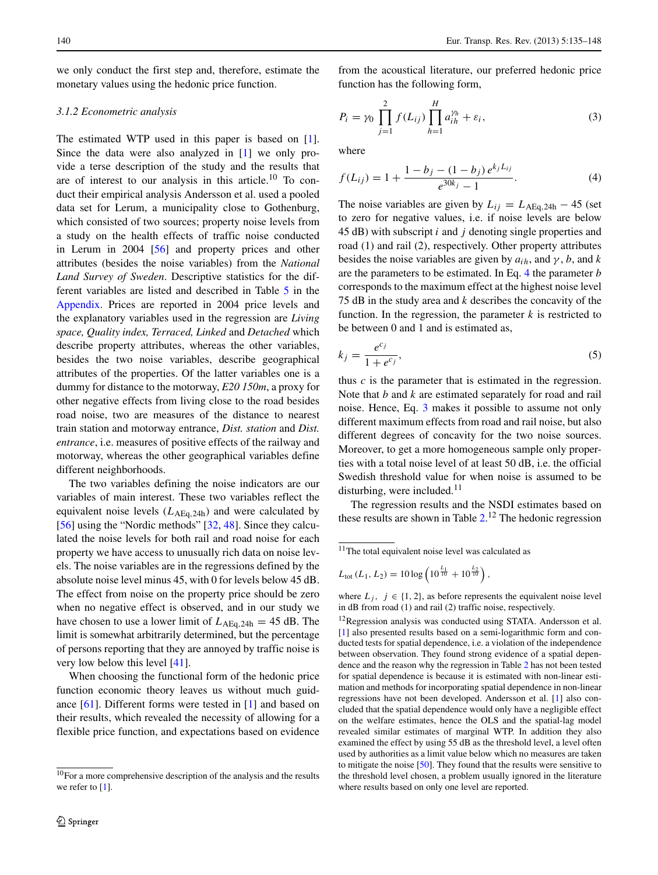we only conduct the first step and, therefore, estimate the monetary values using the hedonic price function.

#### *3.1.2 Econometric analysis*

The estimated WTP used in this paper is based on [\[1\]](#page-12-12). Since the data were also analyzed in [\[1\]](#page-12-12) we only provide a terse description of the study and the results that are of interest to our analysis in this article.<sup>[10](#page-5-0)</sup> To conduct their empirical analysis Andersson et al. used a pooled data set for Lerum, a municipality close to Gothenburg, which consisted of two sources; property noise levels from a study on the health effects of traffic noise conducted in Lerum in 2004 [\[56\]](#page-13-15) and property prices and other attributes (besides the noise variables) from the *National Land Survey of Sweden*. Descriptive statistics for the different variables are listed and described in Table [5](#page-11-0) in the [Appendix.](#page-11-1) Prices are reported in 2004 price levels and the explanatory variables used in the regression are *Living space, Quality index, Terraced, Linked* and *Detached* which describe property attributes, whereas the other variables, besides the two noise variables, describe geographical attributes of the properties. Of the latter variables one is a dummy for distance to the motorway, *E20 150m*, a proxy for other negative effects from living close to the road besides road noise, two are measures of the distance to nearest train station and motorway entrance, *Dist. station* and *Dist. entrance*, i.e. measures of positive effects of the railway and motorway, whereas the other geographical variables define different neighborhoods.

The two variables defining the noise indicators are our variables of main interest. These two variables reflect the equivalent noise levels  $(L_{\text{AEq}, 24h})$  and were calculated by [\[56\]](#page-13-15) using the "Nordic methods" [\[32,](#page-12-32) [48\]](#page-13-16). Since they calculated the noise levels for both rail and road noise for each property we have access to unusually rich data on noise levels. The noise variables are in the regressions defined by the absolute noise level minus 45, with 0 for levels below 45 dB. The effect from noise on the property price should be zero when no negative effect is observed, and in our study we have chosen to use a lower limit of  $L_{\text{A}Ea,24h} = 45 \text{ dB}$ . The limit is somewhat arbitrarily determined, but the percentage of persons reporting that they are annoyed by traffic noise is very low below this level [\[41\]](#page-12-8).

When choosing the functional form of the hedonic price function economic theory leaves us without much guidance [\[61\]](#page-13-13). Different forms were tested in [\[1\]](#page-12-12) and based on their results, which revealed the necessity of allowing for a flexible price function, and expectations based on evidence

from the acoustical literature, our preferred hedonic price function has the following form,

<span id="page-5-2"></span>
$$
P_i = \gamma_0 \prod_{j=1}^{2} f(L_{ij}) \prod_{h=1}^{H} a_{ih}^{\gamma_h} + \varepsilon_i,
$$
 (3)

<span id="page-5-1"></span>where

$$
f(L_{ij}) = 1 + \frac{1 - b_j - (1 - b_j) e^{k_j L_{ij}}}{e^{30k_j} - 1}.
$$
 (4)

The noise variables are given by  $L_{ij} = L_{\text{AEq},24h} - 45$  (set to zero for negative values, i.e. if noise levels are below 45 dB) with subscript *i* and *j* denoting single properties and road (1) and rail (2), respectively. Other property attributes besides the noise variables are given by  $a_{ih}$ , and  $\gamma$ , *b*, and *k* are the parameters to be estimated. In Eq. [4](#page-5-1) the parameter *b* corresponds to the maximum effect at the highest noise level 75 dB in the study area and *k* describes the concavity of the function. In the regression, the parameter  $k$  is restricted to be between 0 and 1 and is estimated as,

<span id="page-5-5"></span>
$$
k_j = \frac{e^{c_j}}{1 + e^{c_j}},
$$
\n(5)

thus *c* is the parameter that is estimated in the regression. Note that *b* and *k* are estimated separately for road and rail noise. Hence, Eq. [3](#page-5-2) makes it possible to assume not only different maximum effects from road and rail noise, but also different degrees of concavity for the two noise sources. Moreover, to get a more homogeneous sample only properties with a total noise level of at least 50 dB, i.e. the official Swedish threshold value for when noise is assumed to be disturbing, were included. $11$ 

The regression results and the NSDI estimates based on these results are shown in Table  $2<sup>12</sup>$  $2<sup>12</sup>$  $2<sup>12</sup>$ . The hedonic regression

<span id="page-5-3"></span> $L_{\text{tot}}(L_1, L_2) = 10 \log \left( 10^{\frac{L_1}{10}} + 10^{\frac{L_2}{10}} \right),$ 

where  $L_j$ ,  $j \in \{1, 2\}$ , as before represents the equivalent noise level in dB from road (1) and rail (2) traffic noise, respectively.

<span id="page-5-0"></span> $10$ For a more comprehensive description of the analysis and the results we refer to  $[1]$ .

<sup>11</sup>The total equivalent noise level was calculated as

<span id="page-5-4"></span><sup>12</sup>Regression analysis was conducted using STATA. Andersson et al. [\[1\]](#page-12-12) also presented results based on a semi-logarithmic form and conducted tests for spatial dependence, i.e. a violation of the independence between observation. They found strong evidence of a spatial dependence and the reason why the regression in Table [2](#page-6-0) has not been tested for spatial dependence is because it is estimated with non-linear estimation and methods for incorporating spatial dependence in non-linear regressions have not been developed. Andersson et al. [\[1\]](#page-12-12) also concluded that the spatial dependence would only have a negligible effect on the welfare estimates, hence the OLS and the spatial-lag model revealed similar estimates of marginal WTP. In addition they also examined the effect by using 55 dB as the threshold level, a level often used by authorities as a limit value below which no measures are taken to mitigate the noise [\[50\]](#page-13-17). They found that the results were sensitive to the threshold level chosen, a problem usually ignored in the literature where results based on only one level are reported.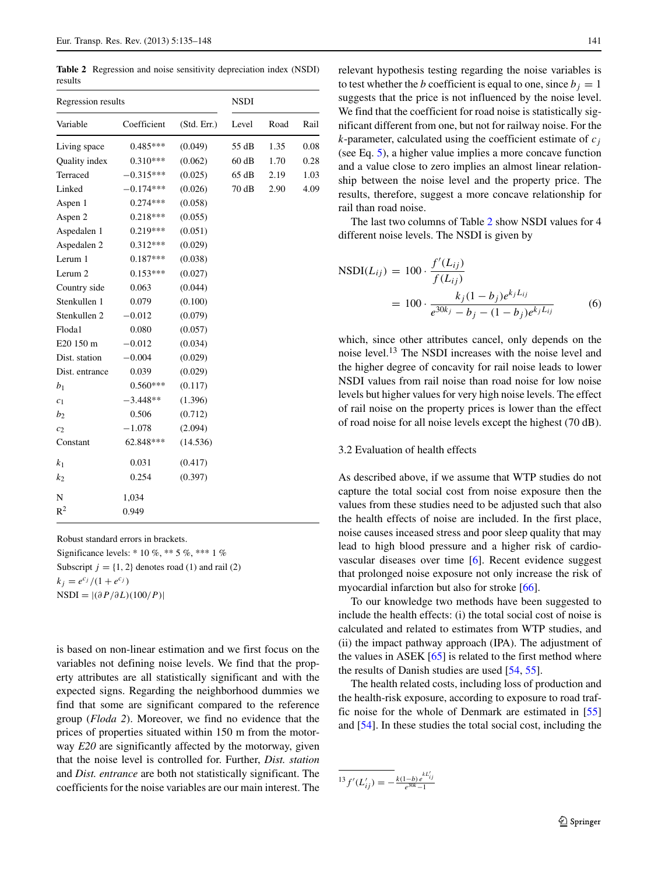<span id="page-6-0"></span>**Table 2** Regression and noise sensitivity depreciation index (NSDI) results

| Regression results |             | <b>NSDI</b> |       |      |      |
|--------------------|-------------|-------------|-------|------|------|
| Variable           | Coefficient | (Std. Err.) | Level | Road | Rail |
| Living space       | $0.485***$  | (0.049)     | 55 dB | 1.35 | 0.08 |
| Quality index      | $0.310***$  | (0.062)     | 60 dB | 1.70 | 0.28 |
| Terraced           | $-0.315***$ | (0.025)     | 65 dB | 2.19 | 1.03 |
| Linked             | $-0.174***$ | (0.026)     | 70 dB | 2.90 | 4.09 |
| Aspen 1            | $0.274***$  | (0.058)     |       |      |      |
| Aspen 2            | $0.218***$  | (0.055)     |       |      |      |
| Aspedalen 1        | $0.219***$  | (0.051)     |       |      |      |
| Aspedalen 2        | $0.312***$  | (0.029)     |       |      |      |
| Lerum 1            | $0.187***$  | (0.038)     |       |      |      |
| Lerum 2            | $0.153***$  | (0.027)     |       |      |      |
| Country side       | 0.063       | (0.044)     |       |      |      |
| Stenkullen 1       | 0.079       | (0.100)     |       |      |      |
| Stenkullen 2       | $-0.012$    | (0.079)     |       |      |      |
| Flodal             | 0.080       | (0.057)     |       |      |      |
| E20 150 m          | $-0.012$    | (0.034)     |       |      |      |
| Dist. station      | $-0.004$    | (0.029)     |       |      |      |
| Dist. entrance     | 0.039       | (0.029)     |       |      |      |
| b <sub>1</sub>     | $0.560***$  | (0.117)     |       |      |      |
| c <sub>1</sub>     | $-3.448**$  | (1.396)     |       |      |      |
| $b_2$              | 0.506       | (0.712)     |       |      |      |
| c <sub>2</sub>     | $-1.078$    | (2.094)     |       |      |      |
| Constant           | 62.848***   | (14.536)    |       |      |      |
| k <sub>1</sub>     | 0.031       | (0.417)     |       |      |      |
| k <sub>2</sub>     | 0.254       | (0.397)     |       |      |      |
| N                  | 1,034       |             |       |      |      |
| $R^2$              | 0.949       |             |       |      |      |

Robust standard errors in brackets.

Significance levels:  $* 10 \%$ ,  $** 5 \%$ ,  $** 1 \%$ Subscript  $j = \{1, 2\}$  denotes road (1) and rail (2)  $k_j = e^{c_j}/(1 + e^{c_j})$ NSDI = |*(∂P /∂L)(*100*/P )*|

is based on non-linear estimation and we first focus on the variables not defining noise levels. We find that the property attributes are all statistically significant and with the expected signs. Regarding the neighborhood dummies we find that some are significant compared to the reference group (*Floda 2*). Moreover, we find no evidence that the prices of properties situated within 150 m from the motorway *E20* are significantly affected by the motorway, given that the noise level is controlled for. Further, *Dist. station* and *Dist. entrance* are both not statistically significant. The coefficients for the noise variables are our main interest. The

relevant hypothesis testing regarding the noise variables is to test whether the *b* coefficient is equal to one, since  $b_i = 1$ suggests that the price is not influenced by the noise level. We find that the coefficient for road noise is statistically significant different from one, but not for railway noise. For the *k*-parameter, calculated using the coefficient estimate of *cj* (see Eq. [5\)](#page-5-5), a higher value implies a more concave function and a value close to zero implies an almost linear relationship between the noise level and the property price. The results, therefore, suggest a more concave relationship for rail than road noise.

The last two columns of Table [2](#page-6-0) show NSDI values for 4 different noise levels. The NSDI is given by

$$
NSDI(L_{ij}) = 100 \cdot \frac{f'(L_{ij})}{f(L_{ij})}
$$
  
= 100 \cdot \frac{k\_j(1-b\_j)e^{k\_jL\_{ij}}}{e^{30k\_j} - b\_j - (1-b\_j)e^{k\_jL\_{ij}}} (6)

which, since other attributes cancel, only depends on the noise level.<sup>[13](#page-6-1)</sup> The NSDI increases with the noise level and the higher degree of concavity for rail noise leads to lower NSDI values from rail noise than road noise for low noise levels but higher values for very high noise levels. The effect of rail noise on the property prices is lower than the effect of road noise for all noise levels except the highest (70 dB).

## 3.2 Evaluation of health effects

As described above, if we assume that WTP studies do not capture the total social cost from noise exposure then the values from these studies need to be adjusted such that also the health effects of noise are included. In the first place, noise causes inceased stress and poor sleep quality that may lead to high blood pressure and a higher risk of cardiovascular diseases over time [\[6\]](#page-12-33). Recent evidence suggest that prolonged noise exposure not only increase the risk of myocardial infarction but also for stroke [\[66\]](#page-13-18).

To our knowledge two methods have been suggested to include the health effects: (i) the total social cost of noise is calculated and related to estimates from WTP studies, and (ii) the impact pathway approach (IPA). The adjustment of the values in ASEK [\[65\]](#page-13-3) is related to the first method where the results of Danish studies are used [\[54,](#page-13-19) [55\]](#page-13-20).

The health related costs, including loss of production and the health-risk exposure, according to exposure to road traffic noise for the whole of Denmark are estimated in [\[55\]](#page-13-20) and [\[54\]](#page-13-19). In these studies the total social cost, including the

<span id="page-6-1"></span> $1^3 f'(L'_{ij}) = -\frac{k(1-b)e^{kL'_{ij}}}{e^{30k}-1}$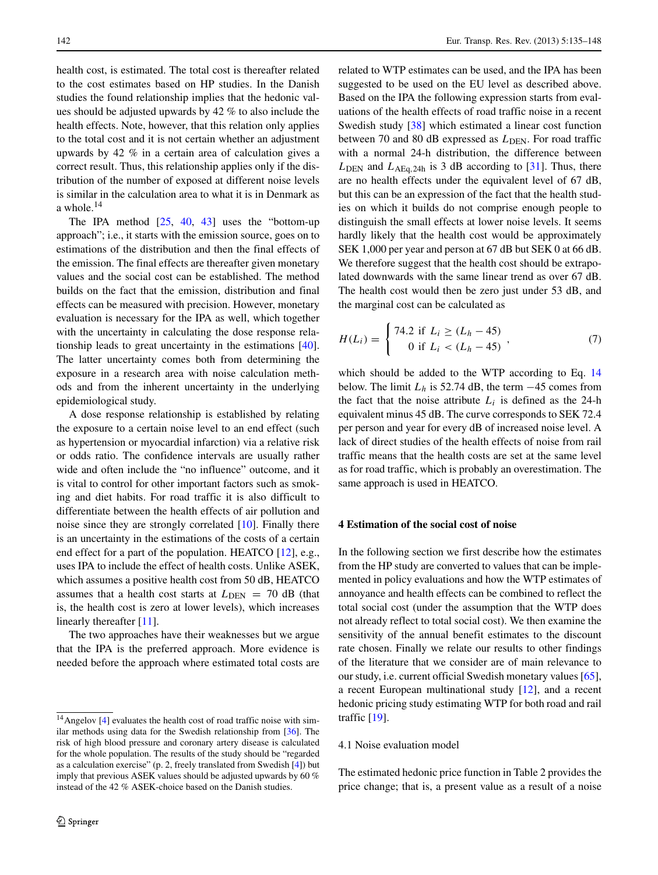health cost, is estimated. The total cost is thereafter related to the cost estimates based on HP studies. In the Danish studies the found relationship implies that the hedonic values should be adjusted upwards by 42 % to also include the health effects. Note, however, that this relation only applies to the total cost and it is not certain whether an adjustment upwards by 42 % in a certain area of calculation gives a correct result. Thus, this relationship applies only if the distribution of the number of exposed at different noise levels is similar in the calculation area to what it is in Denmark as a whole.[14](#page-7-1)

The IPA method [\[25,](#page-12-34) [40,](#page-12-35) [43\]](#page-13-11) uses the "bottom-up approach"; i.e., it starts with the emission source, goes on to estimations of the distribution and then the final effects of the emission. The final effects are thereafter given monetary values and the social cost can be established. The method builds on the fact that the emission, distribution and final effects can be measured with precision. However, monetary evaluation is necessary for the IPA as well, which together with the uncertainty in calculating the dose response relationship leads to great uncertainty in the estimations [\[40\]](#page-12-35). The latter uncertainty comes both from determining the exposure in a research area with noise calculation methods and from the inherent uncertainty in the underlying epidemiological study.

A dose response relationship is established by relating the exposure to a certain noise level to an end effect (such as hypertension or myocardial infarction) via a relative risk or odds ratio. The confidence intervals are usually rather wide and often include the "no influence" outcome, and it is vital to control for other important factors such as smoking and diet habits. For road traffic it is also difficult to differentiate between the health effects of air pollution and noise since they are strongly correlated [\[10\]](#page-12-36). Finally there is an uncertainty in the estimations of the costs of a certain end effect for a part of the population. HEATCO [\[12\]](#page-12-15), e.g., uses IPA to include the effect of health costs. Unlike ASEK, which assumes a positive health cost from 50 dB, HEATCO assumes that a health cost starts at  $L_{\text{DEN}} = 70$  dB (that is, the health cost is zero at lower levels), which increases linearly thereafter [\[11\]](#page-12-22).

The two approaches have their weaknesses but we argue that the IPA is the preferred approach. More evidence is needed before the approach where estimated total costs are

related to WTP estimates can be used, and the IPA has been suggested to be used on the EU level as described above. Based on the IPA the following expression starts from evaluations of the health effects of road traffic noise in a recent Swedish study [\[38\]](#page-12-39) which estimated a linear cost function between 70 and 80 dB expressed as *L*<sub>DEN</sub>. For road traffic with a normal 24-h distribution, the difference between  $L_{\text{DEN}}$  and  $L_{\text{AEq},24h}$  is 3 dB according to [\[31\]](#page-12-40). Thus, there are no health effects under the equivalent level of 67 dB, but this can be an expression of the fact that the health studies on which it builds do not comprise enough people to distinguish the small effects at lower noise levels. It seems hardly likely that the health cost would be approximately SEK 1,000 per year and person at 67 dB but SEK 0 at 66 dB. We therefore suggest that the health cost should be extrapolated downwards with the same linear trend as over 67 dB. The health cost would then be zero just under 53 dB, and the marginal cost can be calculated as

<span id="page-7-2"></span>
$$
H(L_i) = \begin{cases} 74.2 \text{ if } L_i \ge (L_h - 45) \\ 0 \text{ if } L_i < (L_h - 45) \end{cases}, \tag{7}
$$

which should be added to the WTP according to Eq. [14](#page-8-0) below. The limit  $L<sub>h</sub>$  is 52.74 dB, the term  $-45$  comes from the fact that the noise attribute  $L_i$  is defined as the 24-h equivalent minus 45 dB. The curve corresponds to SEK 72.4 per person and year for every dB of increased noise level. A lack of direct studies of the health effects of noise from rail traffic means that the health costs are set at the same level as for road traffic, which is probably an overestimation. The same approach is used in HEATCO.

## <span id="page-7-0"></span>**4 Estimation of the social cost of noise**

In the following section we first describe how the estimates from the HP study are converted to values that can be implemented in policy evaluations and how the WTP estimates of annoyance and health effects can be combined to reflect the total social cost (under the assumption that the WTP does not already reflect to total social cost). We then examine the sensitivity of the annual benefit estimates to the discount rate chosen. Finally we relate our results to other findings of the literature that we consider are of main relevance to our study, i.e. current official Swedish monetary values [\[65\]](#page-13-3), a recent European multinational study [\[12\]](#page-12-15), and a recent hedonic pricing study estimating WTP for both road and rail traffic [\[19\]](#page-12-9).

#### 4.1 Noise evaluation model

The estimated hedonic price function in Table 2 provides the price change; that is, a present value as a result of a noise

<span id="page-7-1"></span><sup>14</sup>Angelov [\[4\]](#page-12-37) evaluates the health cost of road traffic noise with similar methods using data for the Swedish relationship from [\[36\]](#page-12-38). The risk of high blood pressure and coronary artery disease is calculated for the whole population. The results of the study should be "regarded as a calculation exercise" (p. 2, freely translated from Swedish [\[4\]](#page-12-37)) but imply that previous ASEK values should be adjusted upwards by 60 % instead of the 42 % ASEK-choice based on the Danish studies.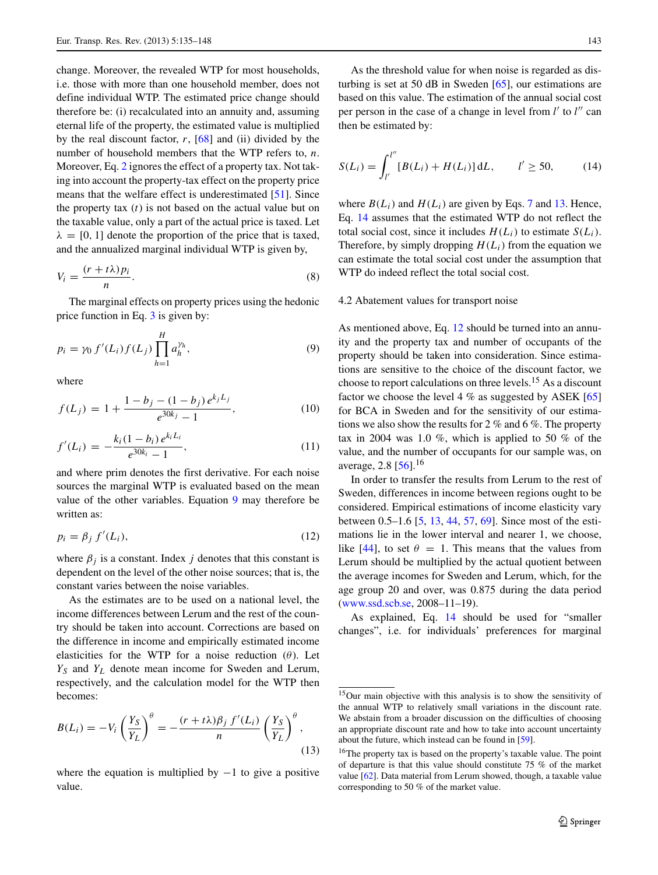change. Moreover, the revealed WTP for most households, i.e. those with more than one household member, does not define individual WTP. The estimated price change should therefore be: (i) recalculated into an annuity and, assuming eternal life of the property, the estimated value is multiplied by the real discount factor, *r*, [\[68\]](#page-13-21) and (ii) divided by the number of household members that the WTP refers to, *n*. Moreover, Eq. [2](#page-4-4) ignores the effect of a property tax. Not taking into account the property-tax effect on the property price means that the welfare effect is underestimated [\[51\]](#page-13-22). Since the property tax (*t*) is not based on the actual value but on the taxable value, only a part of the actual price is taxed. Let  $\lambda = [0, 1]$  denote the proportion of the price that is taxed, and the annualized marginal individual WTP is given by,

$$
V_i = \frac{(r + t\lambda)p_i}{n}.\tag{8}
$$

The marginal effects on property prices using the hedonic price function in Eq. [3](#page-5-2) is given by:

$$
p_i = \gamma_0 f'(L_i) f(L_j) \prod_{h=1}^H a_h^{\gamma_h},
$$
\n(9)

where

<span id="page-8-6"></span>
$$
f(L_j) = 1 + \frac{1 - b_j - (1 - b_j) e^{k_j L_j}}{e^{30k_j} - 1},
$$
\n(10)

$$
f'(L_i) = -\frac{k_i(1-b_i)e^{k_iL_i}}{e^{30k_i} - 1},
$$
\n(11)

and where prim denotes the first derivative. For each noise sources the marginal WTP is evaluated based on the mean value of the other variables. Equation [9](#page-8-1) may therefore be written as:

<span id="page-8-3"></span>
$$
p_i = \beta_j f'(L_i), \tag{12}
$$

where  $\beta_j$  is a constant. Index *j* denotes that this constant is dependent on the level of the other noise sources; that is, the constant varies between the noise variables.

As the estimates are to be used on a national level, the income differences between Lerum and the rest of the country should be taken into account. Corrections are based on the difference in income and empirically estimated income elasticities for the WTP for a noise reduction  $(\theta)$ . Let *YS* and *YL* denote mean income for Sweden and Lerum, respectively, and the calculation model for the WTP then becomes:

<span id="page-8-2"></span>
$$
B(L_i) = -V_i \left(\frac{Y_S}{Y_L}\right)^{\theta} = -\frac{(r + t\lambda)\beta_j f'(L_i)}{n} \left(\frac{Y_S}{Y_L}\right)^{\theta},\tag{13}
$$

where the equation is multiplied by  $-1$  to give a positive value.

As the threshold value for when noise is regarded as disturbing is set at 50 dB in Sweden [\[65\]](#page-13-3), our estimations are based on this value. The estimation of the annual social cost per person in the case of a change in level from *l'* to *l''* can then be estimated by:

<span id="page-8-0"></span>
$$
S(L_i) = \int_{l'}^{l''} [B(L_i) + H(L_i)] dL, \qquad l' \ge 50,
$$
 (14)

where  $B(L_i)$  and  $H(L_i)$  are given by Eqs. [7](#page-7-2) and [13.](#page-8-2) Hence, Eq. [14](#page-8-0) assumes that the estimated WTP do not reflect the total social cost, since it includes  $H(L_i)$  to estimate  $S(L_i)$ . Therefore, by simply dropping  $H(L_i)$  from the equation we can estimate the total social cost under the assumption that WTP do indeed reflect the total social cost.

## <span id="page-8-1"></span>4.2 Abatement values for transport noise

As mentioned above, Eq. [12](#page-8-3) should be turned into an annuity and the property tax and number of occupants of the property should be taken into consideration. Since estimations are sensitive to the choice of the discount factor, we choose to report calculations on three levels[.15](#page-8-4) As a discount factor we choose the level 4 % as suggested by ASEK  $[65]$ for BCA in Sweden and for the sensitivity of our estimations we also show the results for 2 % and 6 %. The property tax in 2004 was 1.0  $\%$ , which is applied to 50  $\%$  of the value, and the number of occupants for our sample was, on average, 2.8 [\[56\]](#page-13-15).<sup>[16](#page-8-5)</sup>

In order to transfer the results from Lerum to the rest of Sweden, differences in income between regions ought to be considered. Empirical estimations of income elasticity vary between 0.5–1.6 [\[5,](#page-12-25) [13,](#page-12-26) [44,](#page-13-23) [57,](#page-13-24) [69\]](#page-13-25). Since most of the estimations lie in the lower interval and nearer 1, we choose, like [\[44\]](#page-13-23), to set  $\theta = 1$ . This means that the values from Lerum should be multiplied by the actual quotient between the average incomes for Sweden and Lerum, which, for the age group 20 and over, was 0.875 during the data period [\(www.ssd.scb.se,](www.ssd.scb.se) 2008–11–19).

As explained, Eq. [14](#page-8-0) should be used for "smaller changes", i.e. for individuals' preferences for marginal

<span id="page-8-4"></span><sup>15</sup>Our main objective with this analysis is to show the sensitivity of the annual WTP to relatively small variations in the discount rate. We abstain from a broader discussion on the difficulties of choosing an appropriate discount rate and how to take into account uncertainty about the future, which instead can be found in [\[59\]](#page-13-26).

<span id="page-8-5"></span><sup>&</sup>lt;sup>16</sup>The property tax is based on the property's taxable value. The point of departure is that this value should constitute 75 % of the market value [\[62\]](#page-13-27). Data material from Lerum showed, though, a taxable value corresponding to 50 % of the market value.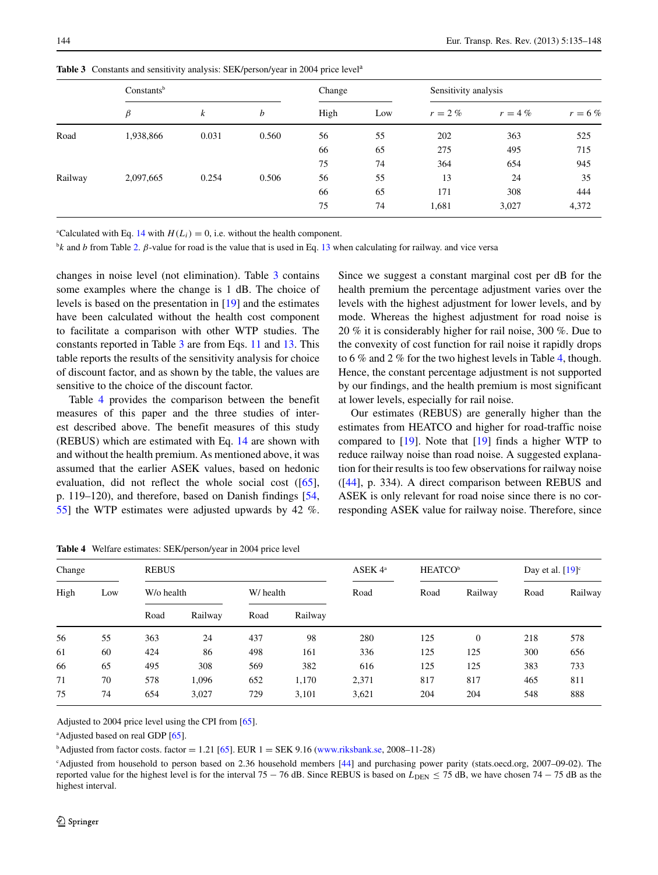|         | Constants <sup>b</sup> |                  |       | Change |     | Sensitivity analysis |           |           |
|---------|------------------------|------------------|-------|--------|-----|----------------------|-----------|-----------|
|         | β                      | $\boldsymbol{k}$ | b     | High   | Low | $r = 2\%$            | $r = 4\%$ | $r = 6\%$ |
| Road    | 1,938,866              | 0.031            | 0.560 | 56     | 55  | 202                  | 363       | 525       |
|         |                        |                  |       | 66     | 65  | 275                  | 495       | 715       |
|         |                        |                  |       | 75     | 74  | 364                  | 654       | 945       |
| Railway | 2,097,665              | 0.254            | 0.506 | 56     | 55  | 13                   | 24        | 35        |
|         |                        |                  |       | 66     | 65  | 171                  | 308       | 444       |
|         |                        |                  |       | 75     | 74  | 1,681                | 3,027     | 4,372     |
|         |                        |                  |       |        |     |                      |           |           |

<span id="page-9-1"></span>**Table 3** Constants and sensitivity analysis: SEK/person/year in 2004 price level<sup>a</sup>

<sup>a</sup>Calculated with Eq. [14](#page-8-0) with  $H(L_i) = 0$ , i.e. without the health component.

<span id="page-9-0"></span>b *k* and *b* from Table [2.](#page-6-0) *β*-value for road is the value that is used in Eq. [13](#page-8-2) when calculating for railway. and vice versa

changes in noise level (not elimination). Table [3](#page-9-1) contains some examples where the change is 1 dB. The choice of levels is based on the presentation in [\[19\]](#page-12-9) and the estimates have been calculated without the health cost component to facilitate a comparison with other WTP studies. The constants reported in Table [3](#page-9-1) are from Eqs. [11](#page-8-6) and [13.](#page-8-2) This table reports the results of the sensitivity analysis for choice of discount factor, and as shown by the table, the values are sensitive to the choice of the discount factor.

Table [4](#page-9-2) provides the comparison between the benefit measures of this paper and the three studies of interest described above. The benefit measures of this study (REBUS) which are estimated with Eq. [14](#page-8-0) are shown with and without the health premium. As mentioned above, it was assumed that the earlier ASEK values, based on hedonic evaluation, did not reflect the whole social cost ([\[65\]](#page-13-3), p. 119–120), and therefore, based on Danish findings [\[54,](#page-13-19) [55\]](#page-13-20) the WTP estimates were adjusted upwards by 42 %.

<span id="page-9-2"></span>**Table 4** Welfare estimates: SEK/person/year in 2004 price level

Since we suggest a constant marginal cost per dB for the health premium the percentage adjustment varies over the levels with the highest adjustment for lower levels, and by mode. Whereas the highest adjustment for road noise is 20 % it is considerably higher for rail noise, 300 %. Due to the convexity of cost function for rail noise it rapidly drops to 6 % and 2 % for the two highest levels in Table [4,](#page-9-2) though. Hence, the constant percentage adjustment is not supported by our findings, and the health premium is most significant at lower levels, especially for rail noise.

Our estimates (REBUS) are generally higher than the estimates from HEATCO and higher for road-traffic noise compared to [\[19\]](#page-12-9). Note that [\[19\]](#page-12-9) finds a higher WTP to reduce railway noise than road noise. A suggested explanation for their results is too few observations for railway noise ([\[44\]](#page-13-23), p. 334). A direct comparison between REBUS and ASEK is only relevant for road noise since there is no corresponding ASEK value for railway noise. Therefore, since

| Change |     | <b>REBUS</b> |         |           |         | ASEK $4^a$ | <b>HEATCO</b> <sup>b</sup> |                | Day et al. $[19]^\circ$ |         |
|--------|-----|--------------|---------|-----------|---------|------------|----------------------------|----------------|-------------------------|---------|
| High   | Low | W/o health   |         | W/ health |         | Road       | Road                       | Railway        | Road                    | Railway |
|        |     | Road         | Railway | Road      | Railway |            |                            |                |                         |         |
| 56     | 55  | 363          | 24      | 437       | 98      | 280        | 125                        | $\overline{0}$ | 218                     | 578     |
| 61     | 60  | 424          | 86      | 498       | 161     | 336        | 125                        | 125            | 300                     | 656     |
| 66     | 65  | 495          | 308     | 569       | 382     | 616        | 125                        | 125            | 383                     | 733     |
| 71     | 70  | 578          | 1,096   | 652       | 1,170   | 2,371      | 817                        | 817            | 465                     | 811     |
| 75     | 74  | 654          | 3,027   | 729       | 3,101   | 3,621      | 204                        | 204            | 548                     | 888     |

Adjusted to 2004 price level using the CPI from [\[65\]](#page-13-3).

<span id="page-9-3"></span><sup>a</sup>Adjusted based on real GDP [\[65\]](#page-13-3).

 $\mu$ <sup>b</sup>Adjusted from factor costs. factor = 1.21 [\[65\]](#page-13-3). EUR 1 = SEK 9.16 [\(www.riksbank.se,](www.riksbank.se) 2008–11-28)

c Adjusted from household to person based on 2.36 household members [\[44\]](#page-13-23) and purchasing power parity (stats.oecd.org, 2007–09-02). The reported value for the highest level is for the interval 75 − 76 dB. Since REBUS is based on *L*<sub>DEN</sub> ≤ 75 dB, we have chosen 74 − 75 dB as the highest interval.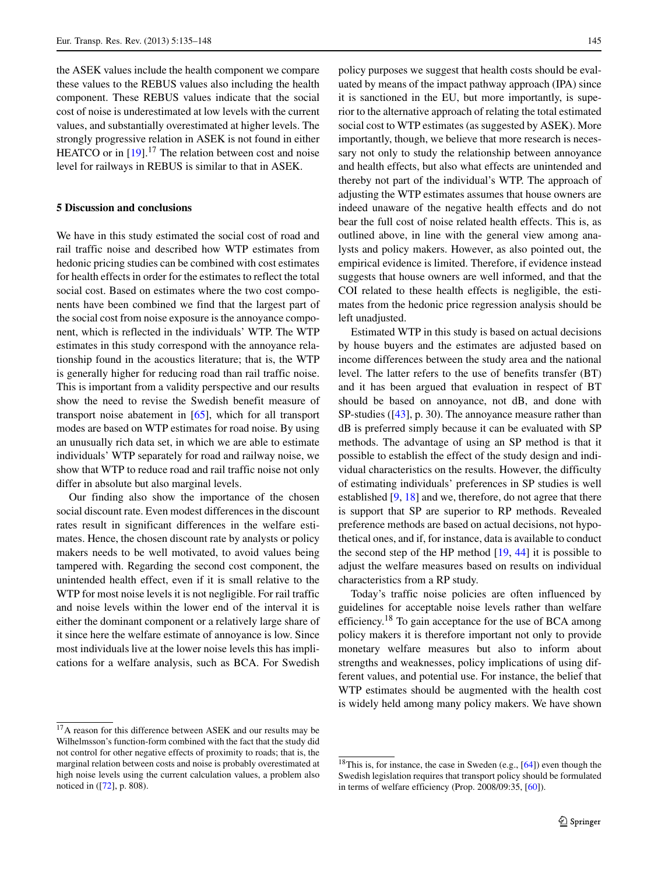the ASEK values include the health component we compare these values to the REBUS values also including the health component. These REBUS values indicate that the social cost of noise is underestimated at low levels with the current values, and substantially overestimated at higher levels. The strongly progressive relation in ASEK is not found in either HEATCO or in  $[19]$ .<sup>[17](#page-10-0)</sup> The relation between cost and noise level for railways in REBUS is similar to that in ASEK.

## **5 Discussion and conclusions**

We have in this study estimated the social cost of road and rail traffic noise and described how WTP estimates from hedonic pricing studies can be combined with cost estimates for health effects in order for the estimates to reflect the total social cost. Based on estimates where the two cost components have been combined we find that the largest part of the social cost from noise exposure is the annoyance component, which is reflected in the individuals' WTP. The WTP estimates in this study correspond with the annoyance relationship found in the acoustics literature; that is, the WTP is generally higher for reducing road than rail traffic noise. This is important from a validity perspective and our results show the need to revise the Swedish benefit measure of transport noise abatement in [\[65\]](#page-13-3), which for all transport modes are based on WTP estimates for road noise. By using an unusually rich data set, in which we are able to estimate individuals' WTP separately for road and railway noise, we show that WTP to reduce road and rail traffic noise not only differ in absolute but also marginal levels.

Our finding also show the importance of the chosen social discount rate. Even modest differences in the discount rates result in significant differences in the welfare estimates. Hence, the chosen discount rate by analysts or policy makers needs to be well motivated, to avoid values being tampered with. Regarding the second cost component, the unintended health effect, even if it is small relative to the WTP for most noise levels it is not negligible. For rail traffic and noise levels within the lower end of the interval it is either the dominant component or a relatively large share of it since here the welfare estimate of annoyance is low. Since most individuals live at the lower noise levels this has implications for a welfare analysis, such as BCA. For Swedish

<span id="page-10-0"></span><sup>17</sup>A reason for this difference between ASEK and our results may be Wilhelmsson's function-form combined with the fact that the study did not control for other negative effects of proximity to roads; that is, the marginal relation between costs and noise is probably overestimated at high noise levels using the current calculation values, a problem also noticed in ([\[72\]](#page-13-10), p. 808).

policy purposes we suggest that health costs should be evaluated by means of the impact pathway approach (IPA) since it is sanctioned in the EU, but more importantly, is superior to the alternative approach of relating the total estimated social cost to WTP estimates (as suggested by ASEK). More importantly, though, we believe that more research is necessary not only to study the relationship between annoyance and health effects, but also what effects are unintended and thereby not part of the individual's WTP. The approach of adjusting the WTP estimates assumes that house owners are indeed unaware of the negative health effects and do not bear the full cost of noise related health effects. This is, as outlined above, in line with the general view among analysts and policy makers. However, as also pointed out, the empirical evidence is limited. Therefore, if evidence instead suggests that house owners are well informed, and that the COI related to these health effects is negligible, the estimates from the hedonic price regression analysis should be left unadjusted.

Estimated WTP in this study is based on actual decisions by house buyers and the estimates are adjusted based on income differences between the study area and the national level. The latter refers to the use of benefits transfer (BT) and it has been argued that evaluation in respect of BT should be based on annoyance, not dB, and done with SP-studies ([\[43\]](#page-13-11), p. 30). The annoyance measure rather than dB is preferred simply because it can be evaluated with SP methods. The advantage of using an SP method is that it possible to establish the effect of the study design and individual characteristics on the results. However, the difficulty of estimating individuals' preferences in SP studies is well established  $[9, 18]$  $[9, 18]$  $[9, 18]$  and we, therefore, do not agree that there is support that SP are superior to RP methods. Revealed preference methods are based on actual decisions, not hypothetical ones, and if, for instance, data is available to conduct the second step of the HP method  $[19, 44]$  $[19, 44]$  $[19, 44]$  it is possible to adjust the welfare measures based on results on individual characteristics from a RP study.

Today's traffic noise policies are often influenced by guidelines for acceptable noise levels rather than welfare efficiency.<sup>18</sup> To gain acceptance for the use of BCA among policy makers it is therefore important not only to provide monetary welfare measures but also to inform about strengths and weaknesses, policy implications of using different values, and potential use. For instance, the belief that WTP estimates should be augmented with the health cost is widely held among many policy makers. We have shown

<span id="page-10-1"></span> $18$ This is, for instance, the case in Sweden (e.g., [\[64\]](#page-13-28)) even though the Swedish legislation requires that transport policy should be formulated in terms of welfare efficiency (Prop. 2008/09:35, [\[60\]](#page-13-29)).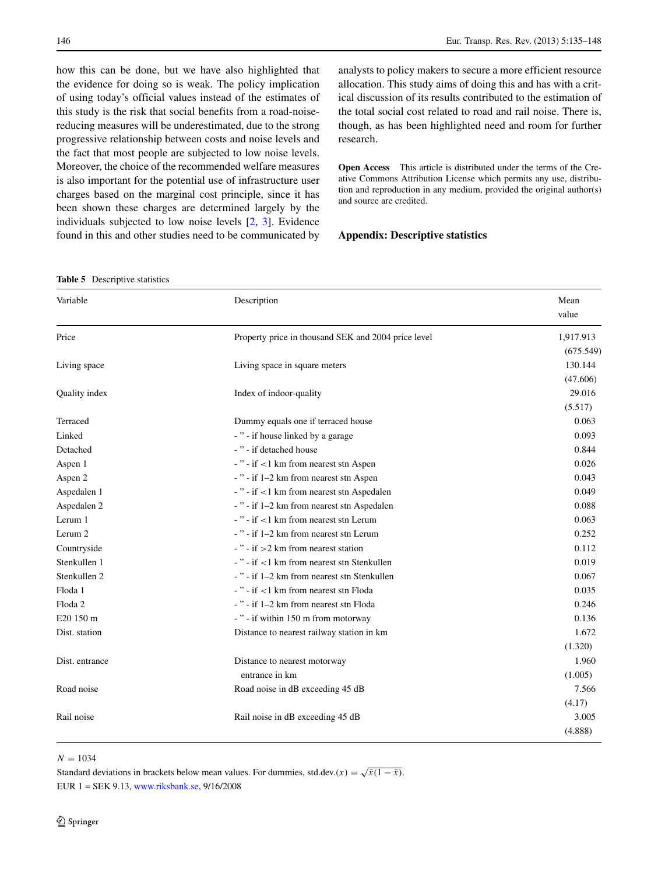how this can be done, but we have also highlighted that the evidence for doing so is weak. The policy implication of using today's official values instead of the estimates of this study is the risk that social benefits from a road-noisereducing measures will be underestimated, due to the strong progressive relationship between costs and noise levels and the fact that most people are subjected to low noise levels. Moreover, the choice of the recommended welfare measures is also important for the potential use of infrastructure user charges based on the marginal cost principle, since it has been shown these charges are determined largely by the individuals subjected to low noise levels [\[2,](#page-12-10) [3\]](#page-12-11). Evidence found in this and other studies need to be communicated by

analysts to policy makers to secure a more efficient resource allocation. This study aims of doing this and has with a critical discussion of its results contributed to the estimation of the total social cost related to road and rail noise. There is, though, as has been highlighted need and room for further research.

**Open Access** This article is distributed under the terms of the Creative Commons Attribution License which permits any use, distribution and reproduction in any medium, provided the original author(s) and source are credited.

# <span id="page-11-1"></span>**Appendix: Descriptive statistics**

| Variable           | Description                                            | Mean      |
|--------------------|--------------------------------------------------------|-----------|
|                    |                                                        | value     |
| Price              | Property price in thousand SEK and 2004 price level    | 1,917.913 |
|                    |                                                        | (675.549) |
| Living space       | Living space in square meters                          | 130.144   |
|                    |                                                        | (47.606)  |
| Quality index      | Index of indoor-quality                                | 29.016    |
|                    |                                                        | (5.517)   |
| Terraced           | Dummy equals one if terraced house                     | 0.063     |
| Linked             | - " - if house linked by a garage                      | 0.093     |
| Detached           | - " - if detached house                                | 0.844     |
| Aspen 1            | - " - if <1 km from nearest stn Aspen                  | 0.026     |
| Aspen 2            | $-$ " - if 1–2 km from nearest stn Aspen               | 0.043     |
| Aspedalen 1        | $-$ " $-$ if $<$ 1 km from nearest stn Aspedalen       | 0.049     |
| Aspedalen 2        | $-$ " - if 1–2 km from nearest stn Aspedalen           | 0.088     |
| Lerum 1            | - " - if <1 km from nearest stn Lerum                  | 0.063     |
| Lerum <sub>2</sub> | $-$ " - if 1–2 km from nearest stn Lerum               | 0.252     |
| Countryside        | $\frac{1}{2}$ $\cdot$ if $>$ 2 km from nearest station | 0.112     |
| Stenkullen 1       | - " - if <1 km from nearest stn Stenkullen             | 0.019     |
| Stenkullen 2       | - " - if 1–2 km from nearest stn Stenkullen            | 0.067     |
| Floda 1            | - " - if <1 km from nearest stn Floda                  | 0.035     |
| Floda 2            | - " - if 1-2 km from nearest stn Floda                 | 0.246     |
| E20 150 m          | - " - if within 150 m from motorway                    | 0.136     |
| Dist. station      | Distance to nearest railway station in km              | 1.672     |
|                    |                                                        | (1.320)   |
| Dist. entrance     | Distance to nearest motorway                           | 1.960     |
|                    | entrance in km                                         | (1.005)   |
| Road noise         | Road noise in dB exceeding 45 dB                       | 7.566     |
|                    |                                                        | (4.17)    |
| Rail noise         | Rail noise in dB exceeding 45 dB                       | 3.005     |
|                    |                                                        | (4.888)   |

<span id="page-11-0"></span>**Table 5** Descriptive statistics

 $N = 1034$ 

Standard deviations in brackets below mean values. For dummies, std.dev. $(x) = \sqrt{\bar{x}(1 - \bar{x})}$ . EUR 1 = SEK 9.13, [www.riksbank.se,](www.riksbank.se) 9/16/2008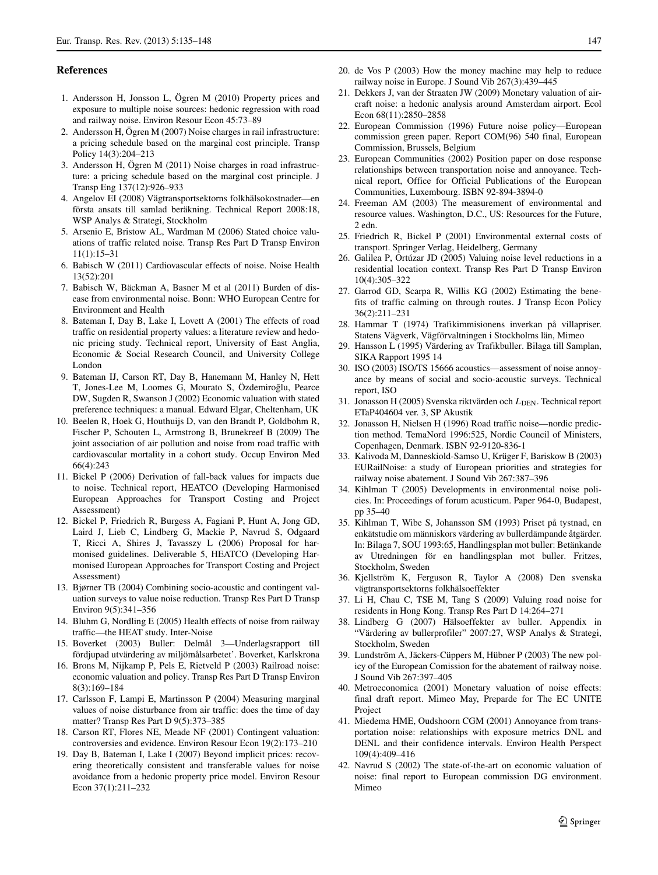## **References**

- <span id="page-12-12"></span>1. Andersson H, Jonsson L, Ögren M  $(2010)$  Property prices and exposure to multiple noise sources: hedonic regression with road and railway noise. Environ Resour Econ 45:73–89
- <span id="page-12-10"></span>2. Andersson H, Ögren M (2007) Noise charges in rail infrastructure: a pricing schedule based on the marginal cost principle. Transp Policy 14(3):204–213
- <span id="page-12-11"></span>3. Andersson H, Ögren M  $(2011)$  Noise charges in road infrastructure: a pricing schedule based on the marginal cost principle. J Transp Eng 137(12):926–933
- <span id="page-12-37"></span>4. Angelov EI (2008) Vägtransportsektorns folkhälsokostnader-en första ansats till samlad beräkning. Technical Report 2008:18, WSP Analys & Strategi, Stockholm
- <span id="page-12-25"></span>5. Arsenio E, Bristow AL, Wardman M (2006) Stated choice valuations of traffic related noise. Transp Res Part D Transp Environ 11(1):15–31
- <span id="page-12-33"></span>6. Babisch W (2011) Cardiovascular effects of noise. Noise Health 13(52):201
- <span id="page-12-1"></span>7. Babisch W, Bäckman A, Basner M et al (2011) Burden of disease from environmental noise. Bonn: WHO European Centre for Environment and Health
- <span id="page-12-23"></span>8. Bateman I, Day B, Lake I, Lovett A (2001) The effects of road traffic on residential property values: a literature review and hedonic pricing study. Technical report, University of East Anglia, Economic & Social Research Council, and University College London
- <span id="page-12-21"></span>9. Bateman IJ, Carson RT, Day B, Hanemann M, Hanley N, Hett T, Jones-Lee M, Loomes G, Mourato S, Özdemiroglu, Pearce DW, Sugden R, Swanson J (2002) Economic valuation with stated preference techniques: a manual. Edward Elgar, Cheltenham, UK
- <span id="page-12-36"></span>10. Beelen R, Hoek G, Houthuijs D, van den Brandt P, Goldbohm R, Fischer P, Schouten L, Armstrong B, Brunekreef B (2009) The joint association of air pollution and noise from road traffic with cardiovascular mortality in a cohort study. Occup Environ Med 66(4):243
- <span id="page-12-22"></span>11. Bickel P (2006) Derivation of fall-back values for impacts due to noise. Technical report, HEATCO (Developing Harmonised European Approaches for Transport Costing and Project Assessment)
- <span id="page-12-15"></span>12. Bickel P, Friedrich R, Burgess A, Fagiani P, Hunt A, Jong GD, Laird J, Lieb C, Lindberg G, Mackie P, Navrud S, Odgaard T, Ricci A, Shires J, Tavasszy L (2006) Proposal for harmonised guidelines. Deliverable 5, HEATCO (Developing Harmonised European Approaches for Transport Costing and Project Assessment)
- <span id="page-12-26"></span>13. Bjørner TB (2004) Combining socio-acoustic and contingent valuation surveys to value noise reduction. Transp Res Part D Transp Environ 9(5):341–356
- <span id="page-12-2"></span>14. Bluhm G, Nordling E (2005) Health effects of noise from railway traffic—the HEAT study. Inter-Noise
- <span id="page-12-3"></span>15. Boverket (2003) Buller: Delmål 3-Underlagsrapport till fördjupad utvärdering av miljömålsarbetet'. Boverket, Karlskrona
- <span id="page-12-30"></span>16. Brons M, Nijkamp P, Pels E, Rietveld P (2003) Railroad noise: economic valuation and policy. Transp Res Part D Transp Environ 8(3):169–184
- <span id="page-12-19"></span>17. Carlsson F, Lampi E, Martinsson P (2004) Measuring marginal values of noise disturbance from air traffic: does the time of day matter? Transp Res Part D 9(5):373–385
- <span id="page-12-41"></span>18. Carson RT, Flores NE, Meade NF (2001) Contingent valuation: controversies and evidence. Environ Resour Econ 19(2):173–210
- <span id="page-12-9"></span>19. Day B, Bateman I, Lake I (2007) Beyond implicit prices: recovering theoretically consistent and transferable values for noise avoidance from a hedonic property price model. Environ Resour Econ 37(1):211–232
- <span id="page-12-7"></span>20. de Vos P (2003) How the money machine may help to reduce railway noise in Europe. J Sound Vib 267(3):439–445
- <span id="page-12-24"></span>21. Dekkers J, van der Straaten JW (2009) Monetary valuation of aircraft noise: a hedonic analysis around Amsterdam airport. Ecol Econ 68(11):2850–2858
- <span id="page-12-0"></span>22. European Commission (1996) Future noise policy—European commission green paper. Report COM(96) 540 final, European Commission, Brussels, Belgium
- <span id="page-12-14"></span>23. European Communities (2002) Position paper on dose response relationships between transportation noise and annoyance. Technical report, Office for Official Publications of the European Communities, Luxembourg. ISBN 92-894-3894-0
- <span id="page-12-31"></span>24. Freeman AM (2003) The measurement of environmental and resource values. Washington, D.C., US: Resources for the Future, 2 edn.
- <span id="page-12-34"></span>25. Friedrich R, Bickel P (2001) Environmental external costs of transport. Springer Verlag, Heidelberg, Germany
- <span id="page-12-27"></span>26. Galilea P, Ortúzar JD (2005) Valuing noise level reductions in a residential location context. Transp Res Part D Transp Environ 10(4):305–322
- <span id="page-12-28"></span>27. Garrod GD, Scarpa R, Willis KG (2002) Estimating the benefits of traffic calming on through routes. J Transp Econ Policy 36(2):211–231
- <span id="page-12-17"></span>28. Hammar T (1974) Trafikimmisionens inverkan på villapriser. Statens Vägverk, Vägförvaltningen i Stockholms län, Mimeo
- <span id="page-12-20"></span>29. Hansson L (1995) Värdering av Trafikbuller. Bilaga till Samplan, SIKA Rapport 1995 14
- <span id="page-12-13"></span>30. ISO (2003) ISO/TS 15666 acoustics—assessment of noise annoyance by means of social and socio-acoustic surveys. Technical report, ISO
- <span id="page-12-40"></span>31. Jonasson H (2005) Svenska riktvärden och L<sub>DEN</sub>. Technical report ETaP404604 ver. 3, SP Akustik
- <span id="page-12-32"></span>32. Jonasson H, Nielsen H (1996) Road traffic noise—nordic prediction method. TemaNord 1996:525, Nordic Council of Ministers, Copenhagen, Denmark. ISBN 92-9120-836-1
- <span id="page-12-5"></span>33. Kalivoda M, Danneskiold-Samso U, Kruger F, Bariskow B (2003) ¨ EURailNoise: a study of European priorities and strategies for railway noise abatement. J Sound Vib 267:387–396
- <span id="page-12-4"></span>34. Kihlman T (2005) Developments in environmental noise policies. In: Proceedings of forum acusticum. Paper 964-0, Budapest, pp 35–40
- <span id="page-12-18"></span>35. Kihlman T, Wibe S, Johansson SM (1993) Priset på tystnad, en enkätstudie om människors värdering av bullerdämpande åtgärder. In: Bilaga 7, SOU 1993:65, Handlingsplan mot buller: Betänkande av Utredningen för en handlingsplan mot buller. Fritzes, Stockholm, Sweden
- <span id="page-12-38"></span>36. Kjellström K, Ferguson R, Taylor A (2008) Den svenska vägtransportsektorns folkhälsoeffekter
- <span id="page-12-29"></span>37. Li H, Chau C, TSE M, Tang S (2009) Valuing road noise for residents in Hong Kong. Transp Res Part D 14:264–271
- <span id="page-12-39"></span>38. Lindberg G (2007) Hälsoeffekter av buller. Appendix in "Värdering av bullerprofiler" 2007:27, WSP Analys & Strategi, Stockholm, Sweden
- <span id="page-12-6"></span>39. Lundström A, Jäckers-Cüppers M, Hübner P (2003) The new policy of the European Comission for the abatement of railway noise. J Sound Vib 267:397–405
- <span id="page-12-35"></span>40. Metroeconomica (2001) Monetary valuation of noise effects: final draft report. Mimeo May, Preparde for The EC UNITE Project
- <span id="page-12-8"></span>41. Miedema HME, Oudshoorn CGM (2001) Annoyance from transportation noise: relationships with exposure metrics DNL and DENL and their confidence intervals. Environ Health Perspect 109(4):409–416
- <span id="page-12-16"></span>42. Navrud S (2002) The state-of-the-art on economic valuation of noise: final report to European commission DG environment. Mimeo